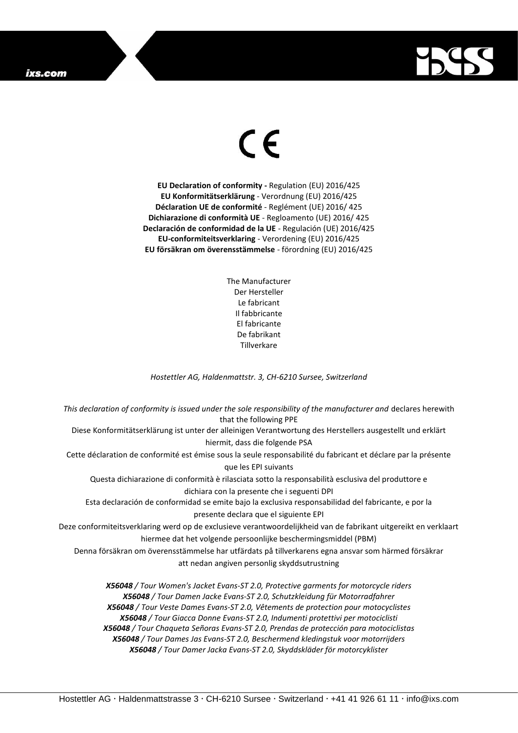## ixs.com



## $\epsilon$

**EU Declaration of conformity -** Regulation (EU) 2016/425 **EU Konformitätserklärung** - Verordnung (EU) 2016/425 **Déclaration UE de conformité** - Reglément (UE) 2016/ 425 **Dichiarazione di conformità UE** - Regloamento (UE) 2016/ 425 **Declaración de conformidad de la UE** - Regulación (UE) 2016/425 **EU-conformiteitsverklaring** - Verordening (EU) 2016/425 **EU försäkran om överensstämmelse** - förordning (EU) 2016/425

> The Manufacturer Der Hersteller Le fabricant Il fabbricante El fabricante De fabrikant **Tillverkare**

*Hostettler AG, Haldenmattstr. 3, CH-6210 Sursee, Switzerland*

*This declaration of conformity is issued under the sole responsibility of the manufacturer and* declares herewith that the following PPE Diese Konformitätserklärung ist unter der alleinigen Verantwortung des Herstellers ausgestellt und erklärt hiermit, dass die folgende PSA Cette déclaration de conformité est émise sous la seule responsabilité du fabricant et déclare par la présente que les EPI suivants Questa dichiarazione di conformità è rilasciata sotto la responsabilità esclusiva del produttore e dichiara con la presente che i seguenti DPI Esta declaración de conformidad se emite bajo la exclusiva responsabilidad del fabricante, e por la presente declara que el siguiente EPI Deze conformiteitsverklaring werd op de exclusieve verantwoordelijkheid van de fabrikant uitgereikt en verklaart hiermee dat het volgende persoonlijke beschermingsmiddel (PBM) Denna försäkran om överensstämmelse har utfärdats på tillverkarens egna ansvar som härmed försäkrar att nedan angiven personlig skyddsutrustning *X56048 / Tour Women's Jacket Evans-ST 2.0, Protective garments for motorcycle riders X56048 / Tour Damen Jacke Evans-ST 2.0, Schutzkleidung für Motorradfahrer X56048 / Tour Veste Dames Evans-ST 2.0, Vêtements de protection pour motocyclistes X56048 / Tour Giacca Donne Evans-ST 2.0, Indumenti protettivi per motociclisti X56048 / Tour Chaqueta Señoras Evans-ST 2.0, Prendas de protección para motociclistas*

> *X56048 / Tour Dames Jas Evans-ST 2.0, Beschermend kledingstuk voor motorrijders X56048 / Tour Damer Jacka Evans-ST 2.0, Skyddskläder för motorcyklister*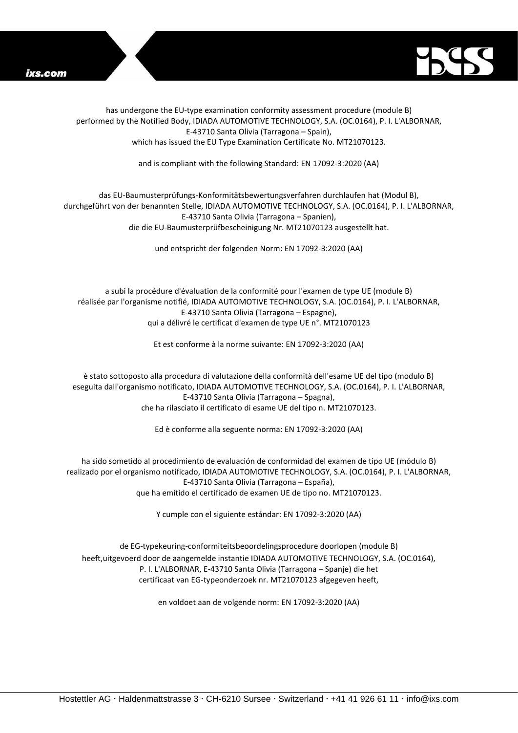



has undergone the EU-type examination conformity assessment procedure (module B) performed by the Notified Body, IDIADA AUTOMOTIVE TECHNOLOGY, S.A. (OC.0164), P. I. L'ALBORNAR, E-43710 Santa Olivia (Tarragona – Spain), which has issued the EU Type Examination Certificate No. MT21070123.

and is compliant with the following Standard: EN 17092-3:2020 (AA)

## das EU-Baumusterprüfungs-Konformitätsbewertungsverfahren durchlaufen hat (Modul B), durchgeführt von der benannten Stelle, IDIADA AUTOMOTIVE TECHNOLOGY, S.A. (OC.0164), P. I. L'ALBORNAR, E-43710 Santa Olivia (Tarragona – Spanien), die die EU-Baumusterprüfbescheinigung Nr. MT21070123 ausgestellt hat.

und entspricht der folgenden Norm: EN 17092-3:2020 (AA)

a subi la procédure d'évaluation de la conformité pour l'examen de type UE (module B) réalisée par l'organisme notifié, IDIADA AUTOMOTIVE TECHNOLOGY, S.A. (OC.0164), P. I. L'ALBORNAR, E-43710 Santa Olivia (Tarragona – Espagne), qui a délivré le certificat d'examen de type UE n°. MT21070123

Et est conforme à la norme suivante: EN 17092-3:2020 (AA)

è stato sottoposto alla procedura di valutazione della conformità dell'esame UE del tipo (modulo B) eseguita dall'organismo notificato, IDIADA AUTOMOTIVE TECHNOLOGY, S.A. (OC.0164), P. I. L'ALBORNAR, E-43710 Santa Olivia (Tarragona – Spagna), che ha rilasciato il certificato di esame UE del tipo n. MT21070123.

Ed è conforme alla seguente norma: EN 17092-3:2020 (AA)

ha sido sometido al procedimiento de evaluación de conformidad del examen de tipo UE (módulo B) realizado por el organismo notificado, IDIADA AUTOMOTIVE TECHNOLOGY, S.A. (OC.0164), P. I. L'ALBORNAR, E-43710 Santa Olivia (Tarragona – España), que ha emitido el certificado de examen UE de tipo no. MT21070123.

Y cumple con el siguiente estándar: EN 17092-3:2020 (AA)

de EG-typekeuring-conformiteitsbeoordelingsprocedure doorlopen (module B) heeft,uitgevoerd door de aangemelde instantie IDIADA AUTOMOTIVE TECHNOLOGY, S.A. (OC.0164), P. I. L'ALBORNAR, E-43710 Santa Olivia (Tarragona – Spanje) die het certificaat van EG-typeonderzoek nr. MT21070123 afgegeven heeft,

en voldoet aan de volgende norm: EN 17092-3:2020 (AA)